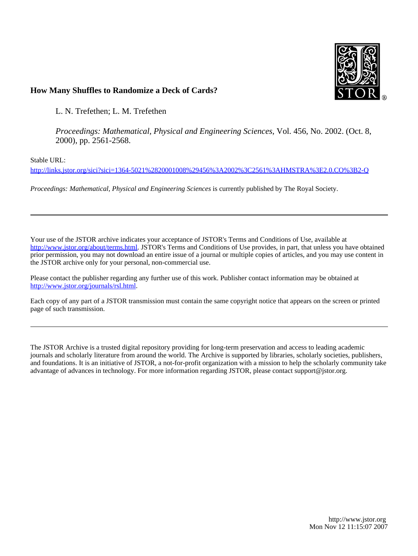

# **How Many Shuffles to Randomize a Deck of Cards?**

L. N. Trefethen; L. M. Trefethen

*Proceedings: Mathematical, Physical and Engineering Sciences*, Vol. 456, No. 2002. (Oct. 8, 2000), pp. 2561-2568.

Stable URL:

<http://links.jstor.org/sici?sici=1364-5021%2820001008%29456%3A2002%3C2561%3AHMSTRA%3E2.0.CO%3B2-Q>

*Proceedings: Mathematical, Physical and Engineering Sciences* is currently published by The Royal Society.

Your use of the JSTOR archive indicates your acceptance of JSTOR's Terms and Conditions of Use, available at [http://www.jstor.org/about/terms.html.](http://www.jstor.org/about/terms.html) JSTOR's Terms and Conditions of Use provides, in part, that unless you have obtained prior permission, you may not download an entire issue of a journal or multiple copies of articles, and you may use content in the JSTOR archive only for your personal, non-commercial use.

Please contact the publisher regarding any further use of this work. Publisher contact information may be obtained at <http://www.jstor.org/journals/rsl.html>.

Each copy of any part of a JSTOR transmission must contain the same copyright notice that appears on the screen or printed page of such transmission.

The JSTOR Archive is a trusted digital repository providing for long-term preservation and access to leading academic journals and scholarly literature from around the world. The Archive is supported by libraries, scholarly societies, publishers, and foundations. It is an initiative of JSTOR, a not-for-profit organization with a mission to help the scholarly community take advantage of advances in technology. For more information regarding JSTOR, please contact support@jstor.org.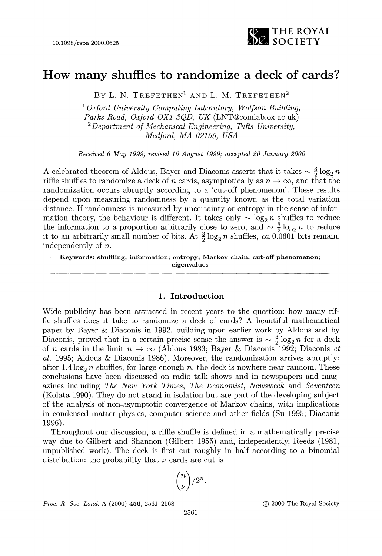

# **How many shuffles to randomize a deck of cards?**

BY L. N. TREFETHEN<sup>1</sup> AND L. M. TREFETHEN<sup>2</sup>

 *Oxford University Computing Laboratory, Wolfson Building, Parks Road, Oxford OX1 3QD, UK* (LNT@comlab.ox.ac.uk) *Department of Mechanical Engineering, Tufts University, Medford, MA 02155, USA* 

*Received 6 May 1999; revised 16 August 1999; accepted 20 January 2000* 

A celebrated theorem of Aldous, Bayer and Diaconis asserts that it takes  $\sim \frac{3}{2} \log_2 n$ riffle shuffles to randomize a deck of n cards, asymptotically as  $n \to \infty$ , and that the randomization occurs abruptly according to a 'cut-off phenomenon'. These results depend upon measuring randomness by a quantity known as the total variation distance. If randomness is measured by uncertainty or entropy in the sense of information theory, the behaviour is different. It takes only  $\sim \log_2 n$  shuffles to reduce mation theory, the behaviour is different. It takes only  $\sim \log_2 n$  shuffles to reduce the information to a proportion arbitrarily close to zero, and  $\sim \frac{3}{2} \log_2 n$  to reduce it to an arbitrarily small number of bits. At  $\frac{3}{2} \log_2 n$  shuffles, *ca.* 0.0601 bits remain, independently of *n.* 

**Keywords: shuffling; information; entropy; Markov chain; cut-off phenomenon; eigenvalues** 

# 1. Introduction

Wide publicity has been attracted in recent years to the question: how many riffle shuffles does it take to randomize a deck of cards? A beautiful mathematical paper by Bayer & Diaconis in 1992, building upon earlier work by Aldous and by Diaconis, proved that in a certain precise sense the answer is  $\sim \frac{3}{2} \log_2 n$  for a deck of n cards in the limit  $n \to \infty$  (Aldous 1983; Bayer & Diaconis 1992; Diaconis *et al.* 1995; Aldous & Diaconis 1986). Moreover, the randomization arrives abruptly: after 1.4  $\log_2 n$  shuffles, for large enough n, the deck is nowhere near random. These conclusions have been discussed on radio talk shows and in newspapers and magazines including *The New York Times, The Economist, Newsweek* and *Seventeen*  (Kolata 1990). They do not stand in isolation but are part of the developing subject of the analysis of non-asymptotic convergence of Markov chains, with implications in condensed matter physics, computer science and other fields (Su 1995; Diaconis 1996).

Throughout our discussion, a riffle shuffle is defined in a mathematically precise way due to Gilbert and Shannon (Gilbert 1955) and, independently, Reeds (1981, unpublished work). The deck is first cut roughly in half according to a binomial distribution: the probability that  $\nu$  cards are cut is

$$
\binom{n}{\nu}/2^n.
$$

*Proc. R. Soc. Lond. A* (2000) *456,* 2561-2568 @ 2000 The Royal Society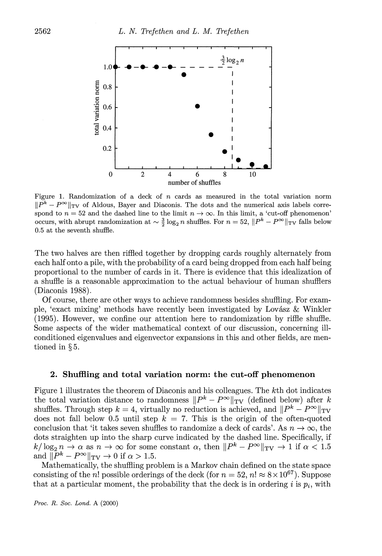

Figure 1. Randomization of a deck of  $n$  cards as measured in the total variation norm  $||P^k - P^{\infty}||_{TV}$  of Aldous, Bayer and Diaconis. The dots and the numerical axis labels correspond to  $n = 52$  and the dashed line to the limit  $n \to \infty$ . In this limit, a 'cut-off phenomenon' occurs, with abrupt randomization at  $\sim \frac{3}{2} \log_2 n$  shuffles. For  $n = 52$ ,  $||P^k - P^{\infty}||_{TV}$  falls below 0.5 at the seventh shuffle.

The two halves are then riffled together by dropping cards roughly alternately from each half onto a pile, with the probability of a card being dropped from each half being proportional to the number of cards in it. There is evidence that this idealization of a shuffle is a reasonable approximation to the actual behaviour of human shufflers (Diaconis 1988).

Of course, there are other ways to achieve randomness besides shuffling. For example, 'exact mixing' methods have recently been investigated by Lov&sz & Winkler (1995). However, we confine our attention here to randomization by riffle shuffle. Some aspects of the wider mathematical context of our discussion, concerning illconditioned eigenvalues and eigenvector expansions in this and other fields, are mentioned in § 5.

# 2. Shuffling and total variation norm: the cut-off phenomenon

Figure 1illustrates the theorem of Diaconis and his colleagues. The kth dot indicates the total variation distance to randomness  $||P^k - P^{\infty}||_{TV}$  (defined below) after k shuffles. Through step  $k = 4$ , virtually no reduction is achieved, and  $||P^k - P^{\infty}||_{TV}$ does not fall below 0.5 until step  $k = 7$ . This is the origin of the often-quoted conclusion that 'it takes seven shuffles to randomize a deck of cards'. As  $n \to \infty$ , the dots straighten up into the sharp curve indicated by the dashed line. Specifically, if  $k/\log_2 n \to \alpha$  as  $n \to \infty$  for some constant  $\alpha$ , then  $||P^k - P^{\infty}||_{TV} \to 1$  if  $\alpha < 1.5$ and  $\|\bar{P}^k - P^{\infty}\|_{\text{TV}} \to 0$  if  $\alpha > 1.5$ .

Mathematically, the shuffling problem is a Markov chain defined on the state space consisting of the n! possible orderings of the deck (for  $n = 52$ ,  $n! \approx 8 \times 10^{67}$ ). Suppose that at a particular moment, the probability that the deck is in ordering  $i$  is  $p_i$ , with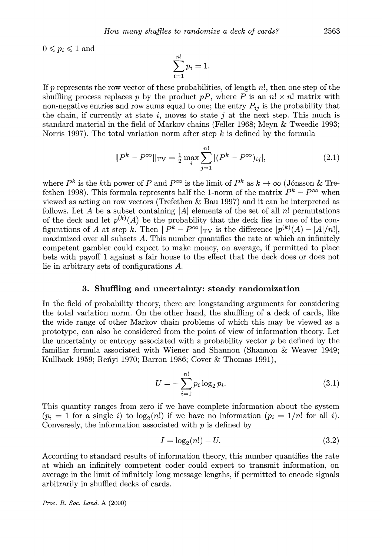$0 \leqslant p_i \leqslant 1$  and

$$
\sum_{i=1}^{n!} p_i = 1.
$$

If p represents the row vector of these probabilities, of length  $n!$ , then one step of the shuffling process replaces p by the product pP, where P is an  $n! \times n!$  matrix with non-negative entries and row sums equal to one; the entry  $P_{ij}$  is the probability that the chain, if currently at state  $i$ , moves to state  $j$  at the next step. This much is standard material in the field of Markov chains (Feller 1968; Meyn & Tweedie 1993; Norris 1997). The total variation norm after step  $k$  is defined by the formula

$$
||P^{k} - P^{\infty}||_{\text{TV}} = \frac{1}{2} \max_{i} \sum_{j=1}^{n!} |(P^{k} - P^{\infty})_{ij}|,
$$
\n(2.1)

where  $P^k$  is the kth power of P and  $P^{\infty}$  is the limit of  $P^k$  as  $k \to \infty$  (Jónsson & Trefethen 1998). This formula represents half the 1-norm of the matrix  $P^k - P^{\infty}$  when viewed as acting on row vectors (Trefethen & Bau 1997) and it can be interpreted as follows. Let A be a subset containing  $|A|$  elements of the set of all n! permutations of the deck and let  $p^{(k)}(A)$  be the probability that the deck lies in one of the configurations of A at step k. Then  $\|\bar{P}^k - P^{\infty}\|_{\text{TV}}$  is the difference  $|p^{(k)}(A) - |A|/n!|$ , maximized over all subsets  $A$ . This number quantifies the rate at which an infinitely competent gambler could expect to make money, on average, if permitted to place bets with payoff 1against a fair house to the effect that the deck does or does not lie in arbitrary sets of configurations A.

#### 3. Shuffling and uncertainty: steady randomization

In the field of probability theory, there are longstanding arguments for considering the total variation norm. On the other hand, the shuffling of a deck of cards, like the wide range of other Markov chain problems of which this may be viewed as a prototype, can also be considered from the point of view of information theory. Let the uncertainty or entropy associated with a probability vector  $p$  be defined by the familiar formula associated with Wiener and Shannon (Shannon & Weaver 1949; Kullback 1959; Renyi 1970; Barron 1986; Cover  $&$  Thomas 1991),

$$
U = -\sum_{i=1}^{n!} p_i \log_2 p_i.
$$
 (3.1)

This quantity ranges from zero if we have complete information about the system  $(p_i = 1$  for a single i) to  $log_2(n!)$  if we have no information  $(p_i = 1/n!)$  for all i). Conversely, the information associated with  $p$  is defined by

$$
I = \log_2(n!) - U.\tag{3.2}
$$

According to standard results of information theory, this number quantifies the rate at which an infinitely competent coder could expect to transmit information, on average in the limit of infinitely long message lengths, if permitted to encode signals arbitrarily in shuffled decks of cards.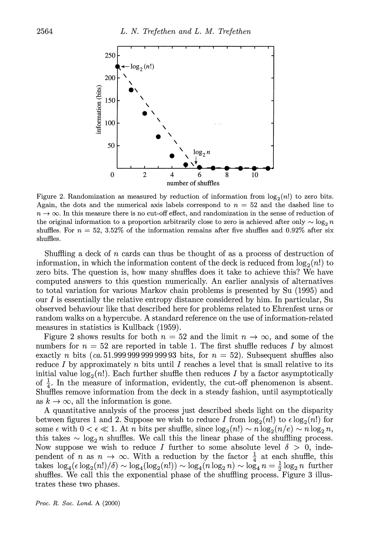

Figure 2. Randomization as measured by reduction of information from  $log_2(n!)$  to zero bits. Again, the dots and the numerical axis labels correspond to  $n = 52$  and the dashed line to  $n \to \infty$ . In this measure there is no cut-off effect, and randomization in the sense of reduction of the original information to a proportion arbitrarily close to zero is achieved after only  $\sim \log_2 n$ shuffles. For  $n = 52$ , 3.52% of the information remains after five shuffles and 0.92% after six shuffles.

Shuffling a deck of n cards can thus be thought of as a process of destruction of information, in which the information content of the deck is reduced from  $log_2(n!)$  to zero bits. The question is, how many shuffles does it take to achieve this? We have computed answers to this question numerically. An earlier analysis of alternatives to total variation for various Markov chain problems is presented by Su (1995) and our I is essentially the relative entropy distance considered by him. In particular, Su observed behaviour like that described here for problems related to Ehrenfest urns or random walks on a hypercube. A standard reference on the use of information-related measures in statistics is Kullback (1959).

Figure 2 shows results for both  $n = 52$  and the limit  $n \to \infty$ , and some of the numbers for  $n = 52$  are reported in table 1. The first shuffle reduces I by almost exactly n bits (ca. 51.999 999 999 999 93 bits, for  $n = 52$ ). Subsequent shuffles also reduce I by approximately n bits until I reaches a level that is small relative to its initial value  $log_2(n!)$ . Each further shuffle then reduces I by a factor asymptotically of  $\frac{1}{4}$ . In the measure of information, evidently, the cut-off phenomenon is absent. Shuffles remove information from the deck in a steady fashion, until asymptotically as  $k \to \infty$ , all the information is gone.

A quantitative analysis of the process just described sheds light on the disparity between figures 1 and 2. Suppose we wish to reduce I from  $log_2(n!)$  to  $\epsilon log_2(n!)$  for some  $\epsilon$  with  $0 < \epsilon \ll 1$ . At *n* bits per shuffle, since  $log_2(n!) \sim n log_2(n/e) \sim n log_2 n$ , some  $\epsilon$  with  $0 < \epsilon \ll 1$ . At *n* bits per shuffle, since  $\log_2(n!) \sim n \log_2(n/\epsilon) \sim n \log_2 n$ , this takes  $\sim \log_2 n$  shuffles. We call this the linear phase of the shuffling process. Now suppose we wish to reduce I further to some absolute level  $\delta > 0$ , independent of n as  $n \to \infty$ . With a reduction by the factor  $\frac{1}{4}$  at each shuffle, this takes  $\log_4(\epsilon \log_2(n!)/\delta) \sim \log_4(\log_2(n!)) \sim \log_4(n \log_2 n) \sim \log_4 n = \frac{1}{2} \log_2 n$  further shuffles. We call this the exponential phase of the shuffling process. Figure 3 illustrates these two phases.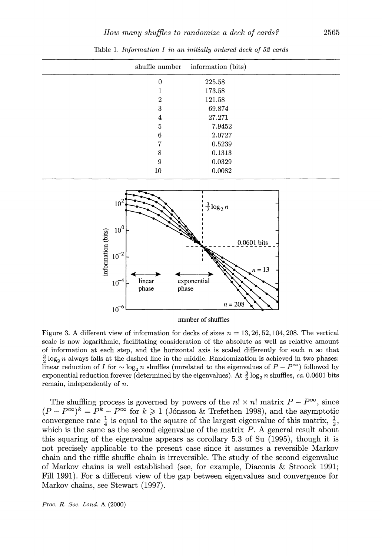|                  | shuffle number information (bits) |  |
|------------------|-----------------------------------|--|
| $\boldsymbol{0}$ | 225.58                            |  |
|                  | 173.58                            |  |
| $\overline{2}$   | 121.58                            |  |
| 3                | 69.874                            |  |
| 4                | 27.271                            |  |
| 5                | 7.9452                            |  |
| 6                | 2.0727                            |  |
| 7                | 0.5239                            |  |
| 8                | 0.1313                            |  |
| 9                | 0.0329                            |  |
| 10               | 0.0082                            |  |

Table 1.*Information I in an initially ordered deck of 52 cards* 



number of shuffles

Figure 3. A different view of information for decks of sizes  $n = 13, 26, 52, 104, 208$ . The vertical scale is now logarithmic, facilitating consideration of the absolute as well as relative amount of information at each step, and the horizontal axis is scaled differently for each  $n$  so that  $\frac{3}{2} \log_2 n$  always falls at the dashed line in the middle. Randomization is achieved in two phases: linear reduction of I for  $\sim \log_2 n$  shuffles (unrelated to the eigenvalues of  $P - P^{\infty}$ ) followed by exponential reduction forever (determined by the eigenvalues). At  $\frac{3}{2} \log_2 n$  shuffles, *ca.* 0.0601 bits remain, independently of n.

The shuffling process is governed by powers of the  $n! \times n!$  matrix  $P - P^{\infty}$ , since  $(P - P^{\infty})^k = P^k - P^{\infty}$  for  $k \ge 1$  (Jónsson & Trefethen 1998), and the asymptotic convergence rate  $\frac{1}{4}$  is equal to the square of the largest eigenvalue of this matrix,  $\frac{1}{2}$ , which is the same as the second eigenvalue of the matrix  $P$ . A general result about this squaring of the eigenvalue appears as corollary 5.3 of Su (1995), though it is not precisely applicable to the present case since it assumes a reversible Markov chain and the riffle shuffle chain is irreversible. The study of the second eigenvalue of Markov chains is well established (see, for example, Diaconis & Stroock 1991; Fill 1991). For a different view of the gap between eigenvalues and convergence for Markov chains, see Stewart (1997).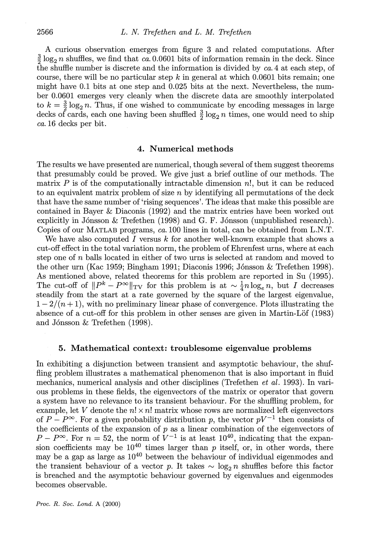A curious observation emerges from figure **3** and related computations. After  $\frac{3}{2}$  log<sub>2</sub> n shuffles, we find that *ca.* 0.0601 bits of information remain in the deck. Since the shuffle number is discrete and the information is divided by *ca.* 4 at each step, of course, there will be no particular step  $k$  in general at which 0.0601 bits remain; one might have 0.1 bits at one step and 0.025 bits at the next. Nevertheless, the number 0.0601 emerges very cleanly when the discrete data are smoothly interpolated to  $k = \frac{3}{2} \log_2 n$ . Thus, if one wished to communicate by encoding messages in large decks of cards, each one having been shuffled  $\frac{3}{2} \log_2 n$  times, one would need to ship *ca.* 16 decks per bit.

# **4. Numerical methods**

The results we have presented are numerical, though several of them suggest theorems that presumably could be proved. We give just a brief outline of our methods. The matrix  $P$  is of the computationally intractable dimension  $n!$ , but it can be reduced to an equivalent matrix problem of size  $n$  by identifying all permutations of the deck that have the same number of 'rising sequences'. The ideas that make this possible are contained in Bayer & Diaconis (1992) and the matrix entries have been worked out explicitly in J6nsson & Trefethen (1998) and G. F. J6nsson (unpublished research). Copies of our MATLAB programs, *ca.* 100 lines in total, can be obtained from L.N.T.

We have also computed I versus k for another well-known example that shows a cut-off effect in the total variation norm, the problem of Ehrenfest urns, where at each step one of n balls located in either of two urns is selected at random and moved to the other urn (Kac 1959; Bingham 1991; Diaconis 1996; J6nsson & Trefethen 1998). As mentioned above, related theorems for this problem are reported in Su (1995). The cut-off of  $||P^k - P^{\infty}||_{TV}$  for this problem is at  $\sim \frac{1}{4}n \log_e n$ , but I decreases steadily from the start at a rate governed by the square of the largest eigenvalue,  $1-2/(n+1)$ , with no preliminary linear phase of convergence. Plots illustrating the absence of a cut-off for this problem in other senses are given in Martin-Lof (1983) and J6nsson & Trefethen (1998).

#### **5. Mathematical context: troublesome eigenvalue problems**

In exhibiting a disjunction between transient and asymptotic behaviour, the shuffling problem illustrates a mathematical phenomenon that is also important in fluid mechanics, numerical analysis and other disciplines (Trefethen et *al.* 1993). In various problems in these fields, the eigenvectors of the matrix or operator that govern a system have no relevance to its transient behaviour. For the shuffling problem, for example, let V denote the  $n! \times n!$  matrix whose rows are normalized left eigenvectors of  $P-P^{\infty}$ . For a given probability distribution p, the vector  $pV^{-1}$  then consists of the coefficients of the expansion of  $p$  as a linear combination of the eigenvectors of  $P-P^{\infty}$ . For  $n=52$ , the norm of  $V^{-1}$  is at least 10<sup>40</sup>, indicating that the expansion coefficients may be  $10^{40}$  times larger than p itself, or, in other words, there may be a gap as large as  $10^{40}$  between the behaviour of individual eigenmodes and the transient behaviour of a vector p. It takes  $\sim \log_2 n$  shuffles before this factor is breached and the asymptotic behaviour governed by eigenvalues and eigenmodes becomes observable.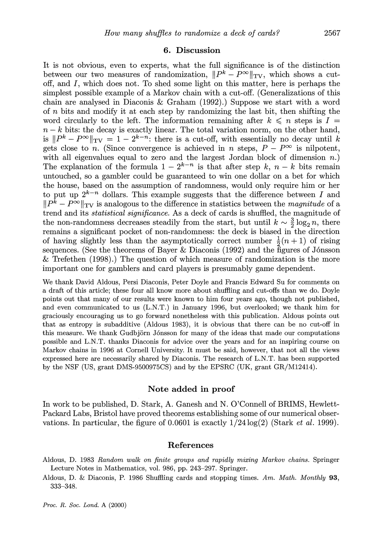### **6. Discussion**

It is not obvious, even to experts, what the full significance is of the distinction between our two measures of randomization,  $||P^k - P^{\infty}||_{TV}$ , which shows a cutoff, and I, which does not. To shed some light on this matter, here is perhaps the simplest possible example of a Markov chain with a cut-off. (Generalizations of this chain are analysed in Diaconis & Graham (1992).) Suppose we start with a word of  $n$  bits and modify it at each step by randomizing the last bit, then shifting the word circularly to the left. The information remaining after  $k \leq n$  steps is  $I =$  $n-k$  bits: the decay is exactly linear. The total variation norm, on the other hand, is  $||P^k - P^{\infty}||_{TV} = 1 - 2^{k-n}$ : there is a cut-off, with essentially no decay until k gets close to n. (Since convergence is achieved in n steps,  $P - P^{\infty}$  is nilpotent, with all eigenvalues equal to zero and the largest Jordan block of dimension  $n$ .) The explanation of the formula  $1-2^{k-n}$  is that after step k,  $n-k$  bits remain untouched, so a gambler could be guaranteed to win one dollar on a bet for which the house, based on the assumption of randomness, would only require him or her to put up  $2^{k-n}$  dollars. This example suggests that the difference between I and  $||P^{\overline{k}}-P^{\infty}||_{TV}$  is analogous to the difference in statistics between the *magnitude* of a trend and its *statistical significance.* As a deck of cards is shuffled, the magnitude of the non-randomness decreases steadily from the start, but until  $k \sim \frac{3}{2} \log_2 n$ , there remains a significant pocket of non-randomness: the deck is biased in the direction of having slightly less than the asymptotically correct number  $\frac{1}{2}(n + 1)$  of rising sequences. (See the theorems of Bayer & Diaconis (1992) and the figures of J6nsson & Trefethen (1998).) The question of which measure of randomization is the more important one for gamblers and card players is presumably game dependent.

We thank David Aldous, Persi Diaconis, Peter Doyle and Francis Edward Su for comments on a draft of this article; these four all know more about shufling and cut-offs than we do. Doyle points out that many of our results were known to him four years ago, though not published, and even communicated to us (L.N.T.) in January 1996, but overlooked; we thank him for graciously encouraging us to go forward nonetheless with this publication. Aldous points out that as entropy is subadditive (Aldous 1983), it is obvious that there can be no cut-off in this measure. We thank Gudbjörn Jónsson for many of the ideas that made our computations possible and L.N.T. thanks Diaconis for advice over the years and for an inspiring course on Markov chains in 1996 at Cornell University. It must be said, however, that not all the views expressed here are necessarily shared by Diaconis. The research of L.N.T. has been supported by the NSF (US, grant DMS-9500975CS) and by the EPSRC (UK, grant  $GR/M12414$ ).

#### **Note added in proof**

In work to be published, D. Stark, A. Ganesh and N. O'Connell of BRIMS, Hewlett-Packard Labs, Bristol have proved theorems establishing some of our numerical observations. In particular, the figure of 0.0601 is exactly 1/24 log(2) (Stark *et al.* 1999).

#### **References**

Aldous, D. 1983 *Random walk on finite groups and rapidly mixing Marlcow chains.* Springer Lecture Notes in Mathematics, vol. 986, pp. 243-297. Springer.

Aldous, D. & Diaconis, P. 1986 Shuffling cards and stopping times. *Am. Math. Monthly 93,*  333-348.